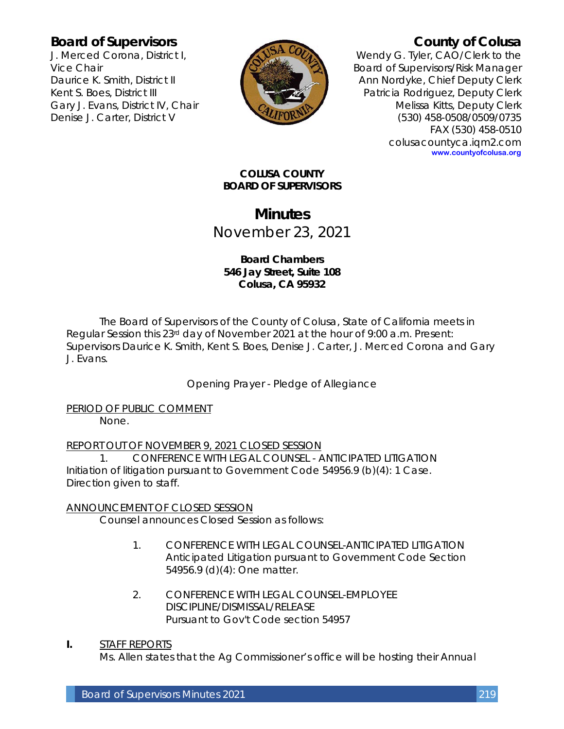# **Board of Supervisors**

J. Merced Corona, District I, Vice Chair Daurice K. Smith, District II Kent S. Boes, District III Gary J. Evans, District IV, Chair Denise J. Carter, District V



# **County of Colusa**

Wendy G. Tyler, CAO/Clerk to the Board of Supervisors/Risk Manager Ann Nordyke, Chief Deputy Clerk Patricia Rodriguez, Deputy Clerk Melissa Kitts, Deputy Clerk (530) 458-0508/0509/0735 FAX (530) 458-0510 colusacountyca.iqm2.com **www.countyofcolusa.org**

## **COLUSA COUNTY BOARD OF SUPERVISORS**

# **Minutes** November 23, 2021

# **Board Chambers 546 Jay Street, Suite 108 Colusa, CA 95932**

The Board of Supervisors of the County of Colusa, State of California meets in Regular Session this 23rd day of November 2021 at the hour of 9:00 a.m. Present: Supervisors Daurice K. Smith, Kent S. Boes, Denise J. Carter, J. Merced Corona and Gary J. Evans.

Opening Prayer - Pledge of Allegiance

PERIOD OF PUBLIC COMMENT None.

REPORT OUT OF NOVEMBER 9, 2021 CLOSED SESSION

1. CONFERENCE WITH LEGAL COUNSEL - ANTICIPATED LITIGATION Initiation of litigation pursuant to Government Code 54956.9 (b)(4): 1 Case. Direction given to staff.

# ANNOUNCEMENT OF CLOSED SESSION

Counsel announces Closed Session as follows:

- 1. CONFERENCE WITH LEGAL COUNSEL-ANTICIPATED LITIGATION Anticipated Litigation pursuant to Government Code Section 54956.9 (d)(4): One matter.
- 2. CONFERENCE WITH LEGAL COUNSEL-EMPLOYEE DISCIPLINE/DISMISSAL/RELEASE Pursuant to Gov't Code section 54957

# **I.** STAFF REPORTS

Ms. Allen states that the Ag Commissioner's office will be hosting their Annual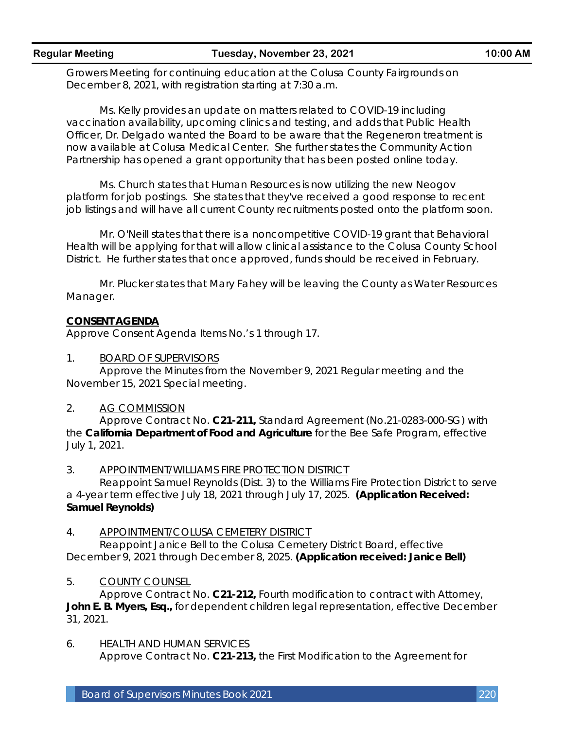Growers Meeting for continuing education at the Colusa County Fairgrounds on December 8, 2021, with registration starting at 7:30 a.m.

Ms. Kelly provides an update on matters related to COVID-19 including vaccination availability, upcoming clinics and testing, and adds that Public Health Officer, Dr. Delgado wanted the Board to be aware that the Regeneron treatment is now available at Colusa Medical Center. She further states the Community Action Partnership has opened a grant opportunity that has been posted online today.

Ms. Church states that Human Resources is now utilizing the new Neogov platform for job postings. She states that they've received a good response to recent job listings and will have all current County recruitments posted onto the platform soon.

Mr. O'Neill states that there is a noncompetitive COVID-19 grant that Behavioral Health will be applying for that will allow clinical assistance to the Colusa County School District. He further states that once approved, funds should be received in February.

Mr. Plucker states that Mary Fahey will be leaving the County as Water Resources Manager.

## **CONSENT AGENDA**

Approve Consent Agenda Items No.'s 1 through 17.

1. BOARD OF SUPERVISORS

Approve the Minutes from the November 9, 2021 Regular meeting and the November 15, 2021 Special meeting.

## 2. AG COMMISSION

Approve Contract No. **C21-211,** Standard Agreement (No.21-0283-000-SG) with the **California Department of Food and Agriculture** for the Bee Safe Program, effective July 1, 2021.

## 3. APPOINTMENT/WILLIAMS FIRE PROTECTION DISTRICT

Reappoint Samuel Reynolds (Dist. 3) to the Williams Fire Protection District to serve a 4-year term effective July 18, 2021 through July 17, 2025. **(Application Received: Samuel Reynolds)**

#### 4. APPOINTMENT/COLUSA CEMETERY DISTRICT

Reappoint Janice Bell to the Colusa Cemetery District Board, effective December 9, 2021 through December 8, 2025. **(Application received: Janice Bell)**

## 5. COUNTY COUNSEL

Approve Contract No. **C21-212,** Fourth modification to contract with Attorney, **John E. B. Myers, Esq.,** for dependent children legal representation, effective December 31, 2021.

6. HEALTH AND HUMAN SERVICES Approve Contract No. **C21-213,** the First Modification to the Agreement for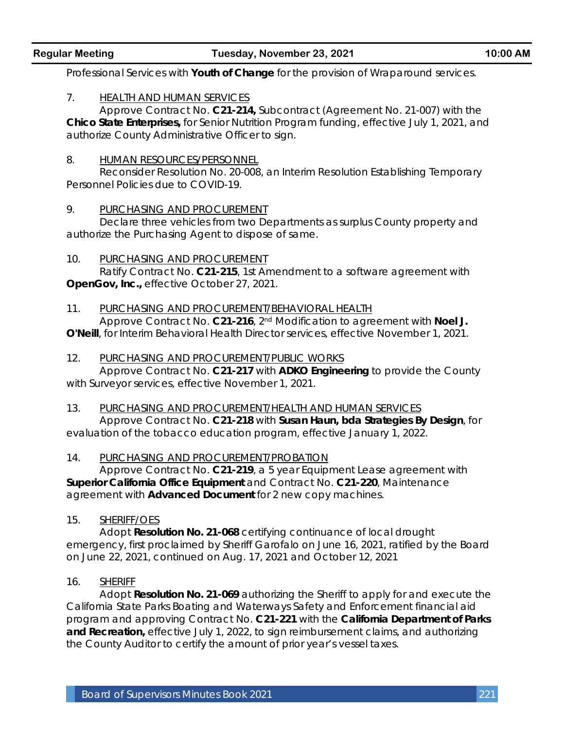Professional Services with **Youth of Change** for the provision of Wraparound services.

# 7. HEALTH AND HUMAN SERVICES

Approve Contract No. **C21-214,** Subcontract (Agreement No. 21-007) with the **Chico State Enterprises,** for Senior Nutrition Program funding, effective July 1, 2021, and authorize County Administrative Officer to sign.

## 8. HUMAN RESOURCES/PERSONNEL

Reconsider Resolution No. 20-008, an Interim Resolution Establishing Temporary Personnel Policies due to COVID-19.

#### 9. PURCHASING AND PROCUREMENT

Declare three vehicles from two Departments as surplus County property and authorize the Purchasing Agent to dispose of same.

#### 10. PURCHASING AND PROCUREMENT

Ratify Contract No. **C21-215**, 1st Amendment to a software agreement with **OpenGov, Inc.,** effective October 27, 2021.

#### 11. PURCHASING AND PROCUREMENT/BEHAVIORAL HEALTH

Approve Contract No. **C21-216**, 2nd Modification to agreement with **Noel J. O'Neill**, for Interim Behavioral Health Director services, effective November 1, 2021.

#### 12. PURCHASING AND PROCUREMENT/PUBLIC WORKS

Approve Contract No. **C21-217** with **ADKO Engineering** to provide the County with Surveyor services, effective November 1, 2021.

#### 13. PURCHASING AND PROCUREMENT/HEALTH AND HUMAN SERVICES

Approve Contract No. **C21-218** with **Susan Haun, bda Strategies By Design**, for evaluation of the tobacco education program, effective January 1, 2022.

## 14. PURCHASING AND PROCUREMENT/PROBATION

Approve Contract No. **C21-219**, a 5 year Equipment Lease agreement with **Superior California Office Equipment** and Contract No. **C21-220**, Maintenance agreement with **Advanced Document** for 2 new copy machines.

## 15. SHERIFF/OES

Adopt **Resolution No. 21-068** certifying continuance of local drought emergency, first proclaimed by Sheriff Garofalo on June 16, 2021, ratified by the Board on June 22, 2021, continued on Aug. 17, 2021 and October 12, 2021

## 16. SHERIFF

Adopt **Resolution No. 21-069** authorizing the Sheriff to apply for and execute the California State Parks Boating and Waterways Safety and Enforcement financial aid program and approving Contract No. **C21-221** with the **California Department of Parks and Recreation,** effective July 1, 2022, to sign reimbursement claims, and authorizing the County Auditor to certify the amount of prior year's vessel taxes.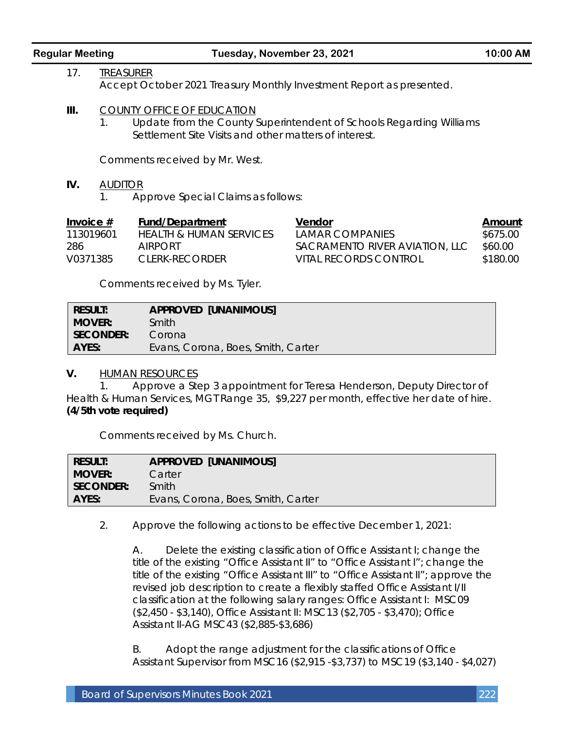|  | <b>Regular Meeting</b> |
|--|------------------------|
|  |                        |

- 17. TREASURER Accept October 2021 Treasury Monthly Investment Report as presented.
- **III.** COUNTY OFFICE OF EDUCATION
	- 1. Update from the County Superintendent of Schools Regarding Williams Settlement Site Visits and other matters of interest.

Comments received by Mr. West.

## **IV.** AUDITOR

1. Approve Special Claims as follows:

| Invoice $#$ | Fund/Department         | Vendor                         | Amount   |
|-------------|-------------------------|--------------------------------|----------|
| 113019601   | HEALTH & HUMAN SERVICES | I AMAR COMPANIES               | \$675.00 |
| 286         | <b>AIRPORT</b>          | SACRAMENTO RIVER AVIATION, LLC | \$60.00  |
| V0371385    | CLERK-RECORDER          | VITAL RECORDS CONTROL          | \$180.00 |

Comments received by Ms. Tyler.

| <b>RESULT:</b> | <b>APPROVED [UNANIMOUS]</b>        |
|----------------|------------------------------------|
| <b>MOVER:</b>  | Smith                              |
| SECONDER: I    | Corona                             |
| AYES:          | Evans, Corona, Boes, Smith, Carter |

**V.** HUMAN RESOURCES

1. Approve a Step 3 appointment for Teresa Henderson, Deputy Director of Health & Human Services, MGT Range 35, \$9,227 per month, effective her date of hire. **(4/5th vote required)**

Comments received by Ms. Church.

| RESULT:          | <b>APPROVED [UNANIMOUS]</b>        |
|------------------|------------------------------------|
| <b>MOVER:</b>    | Carter                             |
| <b>SECONDER:</b> | Smith                              |
| AYES:            | Evans, Corona, Boes, Smith, Carter |
|                  |                                    |

2. Approve the following actions to be effective December 1, 2021:

A. Delete the existing classification of Office Assistant I; change the title of the existing "Office Assistant II" to "Office Assistant I"; change the title of the existing "Office Assistant III" to "Office Assistant II"; approve the revised job description to create a flexibly staffed Office Assistant I/II classification at the following salary ranges: Office Assistant I: MSC09 (\$2,450 - \$3,140), Office Assistant II: MSC13 (\$2,705 - \$3,470); Office Assistant II-AG MSC43 (\$2,885-\$3,686)

B. Adopt the range adjustment for the classifications of Office Assistant Supervisor from MSC16 (\$2,915 -\$3,737) to MSC19 (\$3,140 - \$4,027)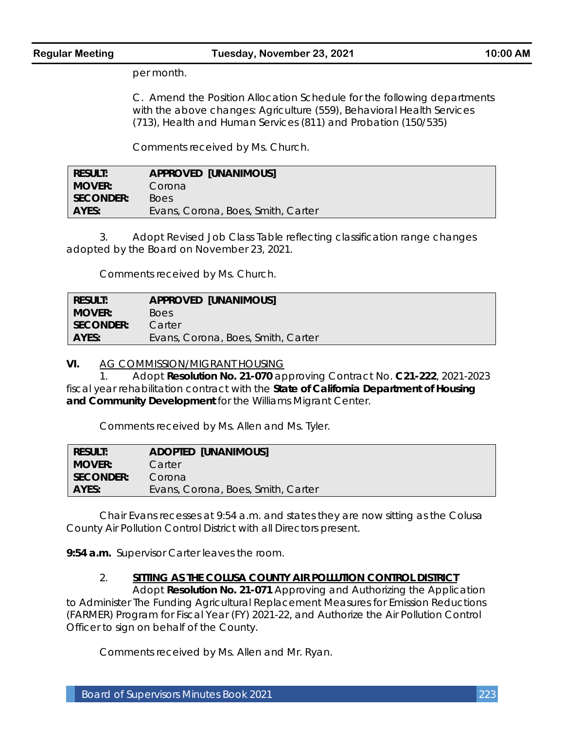per month.

C. Amend the Position Allocation Schedule for the following departments with the above changes: Agriculture (559), Behavioral Health Services (713), Health and Human Services (811) and Probation (150/535)

Comments received by Ms. Church.

| <b>RESULT:</b> | <b>APPROVED [UNANIMOUS]</b>        |
|----------------|------------------------------------|
| <b>MOVER:</b>  | Corona                             |
| SECONDER:      | <b>Boes</b>                        |
| AYES:          | Evans, Corona, Boes, Smith, Carter |

3. Adopt Revised Job Class Table reflecting classification range changes adopted by the Board on November 23, 2021.

Comments received by Ms. Church.

| Result:          | <b>APPROVED [UNANIMOUS]</b>        |
|------------------|------------------------------------|
| <b>MOVER:</b>    | <b>Boes</b>                        |
| <b>SECONDER:</b> | Carter                             |
| AYES:            | Evans, Corona, Boes, Smith, Carter |

**VI.** AG COMMISSION/MIGRANT HOUSING

1. Adopt **Resolution No. 21-070** approving Contract No. **C21-222**, 2021-2023 fiscal year rehabilitation contract with the **State of California Department of Housing and Community Development** for the Williams Migrant Center.

Comments received by Ms. Allen and Ms. Tyler.

| <b>RESULT:</b> | <b>ADOPTED [UNANIMOUS]</b>         |
|----------------|------------------------------------|
| <b>MOVER:</b>  | Carter                             |
| SECONDER:      | Corona                             |
| AYES:          | Evans, Corona, Boes, Smith, Carter |
|                |                                    |

Chair Evans recesses at 9:54 a.m. and states they are now sitting as the Colusa County Air Pollution Control District with all Directors present.

**9:54 a.m.** Supervisor Carter leaves the room.

## 2. **SITTING AS THE COLUSA COUNTY AIR POLLUTION CONTROL DISTRICT**

Adopt **Resolution No. 21-071** Approving and Authorizing the Application to Administer The Funding Agricultural Replacement Measures for Emission Reductions (FARMER) Program for Fiscal Year (FY) 2021-22, and Authorize the Air Pollution Control Officer to sign on behalf of the County.

Comments received by Ms. Allen and Mr. Ryan.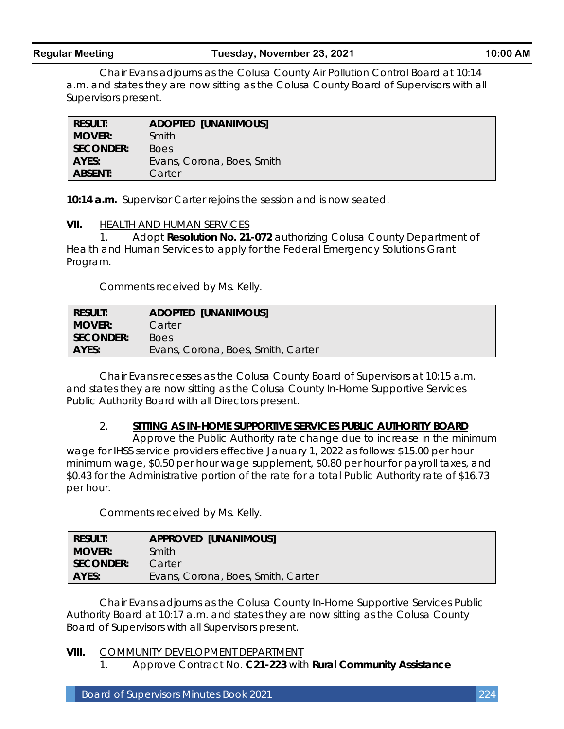Chair Evans adjourns as the Colusa County Air Pollution Control Board at 10:14 a.m. and states they are now sitting as the Colusa County Board of Supervisors with all Supervisors present.

| <b>RESULT:</b>   | <b>ADOPTED [UNANIMOUS]</b> |
|------------------|----------------------------|
| <b>MOVER:</b>    | Smith                      |
| <b>SECONDER:</b> | <b>Boes</b>                |
| AYES:            | Evans, Corona, Boes, Smith |
| <b>ABSENT:</b>   | Carter                     |

**10:14 a.m.** Supervisor Carter rejoins the session and is now seated.

#### **VII.** HEALTH AND HUMAN SERVICES

1. Adopt **Resolution No. 21-072** authorizing Colusa County Department of Health and Human Services to apply for the Federal Emergency Solutions Grant Program.

Comments received by Ms. Kelly.

| <b>RESULT:</b> | <b>ADOPTED [UNANIMOUS]</b>         |
|----------------|------------------------------------|
| MOVER:         | Carter                             |
| SECONDER:      | Boes                               |
| AYES:          | Evans, Corona, Boes, Smith, Carter |

Chair Evans recesses as the Colusa County Board of Supervisors at 10:15 a.m. and states they are now sitting as the Colusa County In-Home Supportive Services Public Authority Board with all Directors present.

## 2. **SITTING AS IN-HOME SUPPORTIVE SERVICES PUBLIC AUTHORITY BOARD**

Approve the Public Authority rate change due to increase in the minimum wage for IHSS service providers effective January 1, 2022 as follows: \$15.00 per hour minimum wage, \$0.50 per hour wage supplement, \$0.80 per hour for payroll taxes, and \$0.43 for the Administrative portion of the rate for a total Public Authority rate of \$16.73 per hour.

Comments received by Ms. Kelly.

| <b>RESULT:</b> | <b>APPROVED [UNANIMOUS]</b>        |
|----------------|------------------------------------|
| <b>MOVER:</b>  | Smith                              |
| SECONDER: I    | Carter                             |
| AYES:          | Evans, Corona, Boes, Smith, Carter |

Chair Evans adjourns as the Colusa County In-Home Supportive Services Public Authority Board at 10:17 a.m. and states they are now sitting as the Colusa County Board of Supervisors with all Supervisors present.

#### **VIII.** COMMUNITY DEVELOPMENT DEPARTMENT

1. Approve Contract No. **C21-223** with **Rural Community Assistance**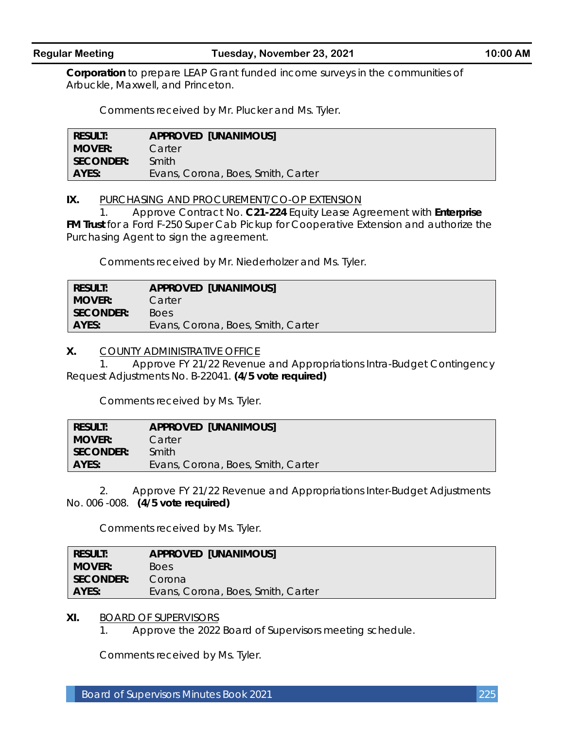**Corporation** to prepare LEAP Grant funded income surveys in the communities of Arbuckle, Maxwell, and Princeton.

Comments received by Mr. Plucker and Ms. Tyler.

| Result:          | <b>APPROVED [UNANIMOUS]</b>        |
|------------------|------------------------------------|
| Mover:           | Carter                             |
| <b>SECONDER:</b> | Smith                              |
| AYES:            | Evans, Corona, Boes, Smith, Carter |

**IX.** PURCHASING AND PROCUREMENT/CO-OP EXTENSION

1. Approve Contract No. **C21-224** Equity Lease Agreement with **Enterprise FM Trust** for a Ford F-250 Super Cab Pickup for Cooperative Extension and authorize the Purchasing Agent to sign the agreement.

Comments received by Mr. Niederholzer and Ms. Tyler.

| Result:     | <b>APPROVED [UNANIMOUS]</b>        |
|-------------|------------------------------------|
| Mover:      | Carter                             |
| SECONDER: \ | <b>Boes</b>                        |
| AYES:       | Evans, Corona, Boes, Smith, Carter |

#### **X.** COUNTY ADMINISTRATIVE OFFICE

1. Approve FY 21/22 Revenue and Appropriations Intra-Budget Contingency Request Adjustments No. B-22041. **(4/5 vote required)**

Comments received by Ms. Tyler.

| <b>RESULT:</b> | <b>APPROVED [UNANIMOUS]</b>        |
|----------------|------------------------------------|
| I MOVER:       | Carter                             |
| SECONDER:      | Smith                              |
| <b>AYES:</b>   | Evans, Corona, Boes, Smith, Carter |

2. Approve FY 21/22 Revenue and Appropriations Inter-Budget Adjustments No. 006 -008. **(4/5 vote required)**

Comments received by Ms. Tyler.

| <b>RESULT:</b> | <b>APPROVED [UNANIMOUS]</b>        |
|----------------|------------------------------------|
| <b>MOVER:</b>  | <b>Boes</b>                        |
| SECONDER:      | Corona                             |
| AYES:          | Evans, Corona, Boes, Smith, Carter |

#### **XI.** BOARD OF SUPERVISORS

1. Approve the 2022 Board of Supervisors meeting schedule.

Comments received by Ms. Tyler.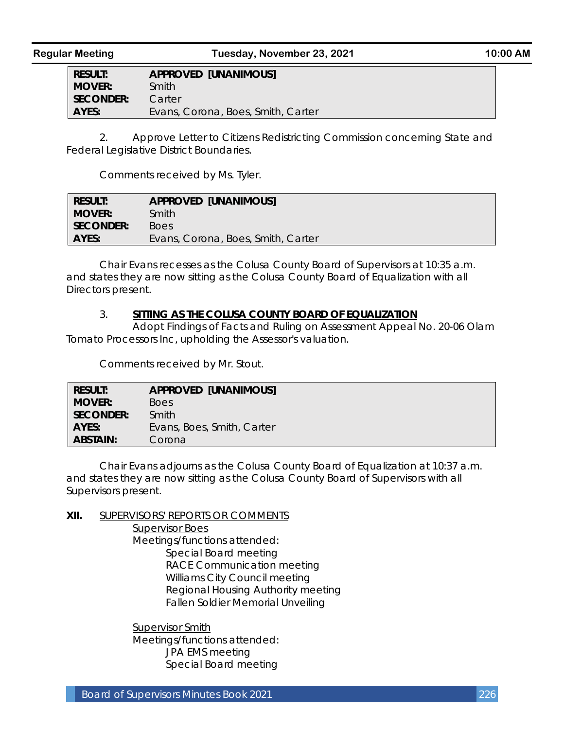**RESULT: APPROVED [UNANIMOUS] MOVER:** Smith **SECONDER:** Carter AYES: Evans, Corona, Boes, Smith, Carter

2. Approve Letter to Citizens Redistricting Commission concerning State and Federal Legislative District Boundaries.

Comments received by Ms. Tyler.

| <b>RESULT:</b> | <b>APPROVED [UNANIMOUS]</b>        |
|----------------|------------------------------------|
| <b>MOVER:</b>  | Smith                              |
| SECONDER: I    | Boes                               |
| AYES:          | Evans, Corona, Boes, Smith, Carter |

Chair Evans recesses as the Colusa County Board of Supervisors at 10:35 a.m. and states they are now sitting as the Colusa County Board of Equalization with all Directors present.

#### 3. **SITTING AS THE COLUSA COUNTY BOARD OF EQUALIZATION**

Adopt Findings of Facts and Ruling on Assessment Appeal No. 20-06 Olam Tomato Processors Inc, upholding the Assessor's valuation.

Comments received by Mr. Stout.

| <b>RESULT:</b>  | APPROVED [UNANIMOUS]       |
|-----------------|----------------------------|
| <b>MOVER:</b>   | Boes                       |
| SECONDER:       | Smith                      |
| AYES:           | Evans, Boes, Smith, Carter |
| <b>ABSTAIN:</b> | Corona                     |

Chair Evans adjourns as the Colusa County Board of Equalization at 10:37 a.m. and states they are now sitting as the Colusa County Board of Supervisors with all Supervisors present.

**XII.** SUPERVISORS' REPORTS OR COMMENTS Supervisor Boes Meetings/functions attended: Special Board meeting RACE Communication meeting Williams City Council meeting Regional Housing Authority meeting Fallen Soldier Memorial Unveiling

> Supervisor Smith Meetings/functions attended: JPA EMS meeting Special Board meeting

Board of Supervisors Minutes Book 2021 226 226 226 226 226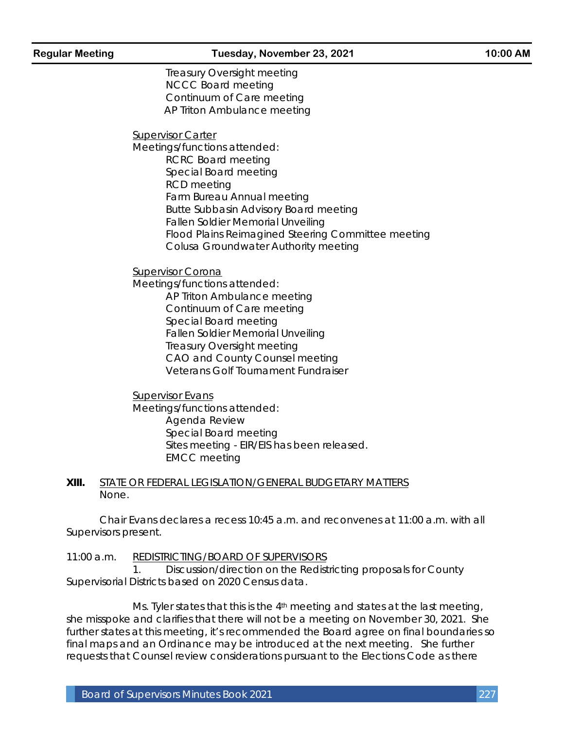Treasury Oversight meeting NCCC Board meeting Continuum of Care meeting AP Triton Ambulance meeting

Supervisor Carter

Meetings/functions attended: RCRC Board meeting Special Board meeting RCD meeting Farm Bureau Annual meeting Butte Subbasin Advisory Board meeting Fallen Soldier Memorial Unveiling Flood Plains Reimagined Steering Committee meeting Colusa Groundwater Authority meeting

Supervisor Corona

Meetings/functions attended: AP Triton Ambulance meeting Continuum of Care meeting Special Board meeting Fallen Soldier Memorial Unveiling Treasury Oversight meeting CAO and County Counsel meeting Veterans Golf Tournament Fundraiser

Supervisor Evans Meetings/functions attended: Agenda Review Special Board meeting Sites meeting - EIR/EIS has been released. EMCC meeting

#### **XIII.** STATE OR FEDERAL LEGISLATION/GENERAL BUDGETARY MATTERS None.

Chair Evans declares a recess 10:45 a.m. and reconvenes at 11:00 a.m. with all Supervisors present.

11:00 a.m. REDISTRICTING/BOARD OF SUPERVISORS 1. Discussion/direction on the Redistricting proposals for County Supervisorial Districts based on 2020 Census data.

Ms. Tyler states that this is the  $4<sup>th</sup>$  meeting and states at the last meeting, she misspoke and clarifies that there will not be a meeting on November 30, 2021. She further states at this meeting, it's recommended the Board agree on final boundaries so final maps and an Ordinance may be introduced at the next meeting. She further requests that Counsel review considerations pursuant to the Elections Code as there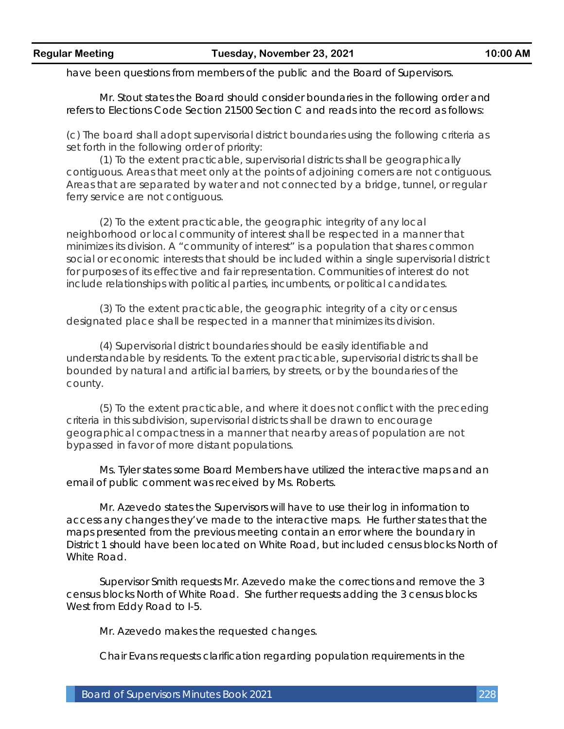have been questions from members of the public and the Board of Supervisors.

Mr. Stout states the Board should consider boundaries in the following order and refers to Elections Code Section 21500 Section C and reads into the record as follows:

(c) The board shall adopt supervisorial district boundaries using the following criteria as set forth in the following order of priority:

(1) To the extent practicable, supervisorial districts shall be geographically contiguous. Areas that meet only at the points of adjoining corners are not contiguous. Areas that are separated by water and not connected by a bridge, tunnel, or regular ferry service are not contiguous.

(2) To the extent practicable, the geographic integrity of any local neighborhood or local community of interest shall be respected in a manner that minimizes its division. A "community of interest" is a population that shares common social or economic interests that should be included within a single supervisorial district for purposes of its effective and fair representation. Communities of interest do not include relationships with political parties, incumbents, or political candidates.

(3) To the extent practicable, the geographic integrity of a city or census designated place shall be respected in a manner that minimizes its division.

(4) Supervisorial district boundaries should be easily identifiable and understandable by residents. To the extent practicable, supervisorial districts shall be bounded by natural and artificial barriers, by streets, or by the boundaries of the county.

(5) To the extent practicable, and where it does not conflict with the preceding criteria in this subdivision, supervisorial districts shall be drawn to encourage geographical compactness in a manner that nearby areas of population are not bypassed in favor of more distant populations.

Ms. Tyler states some Board Members have utilized the interactive maps and an email of public comment was received by Ms. Roberts.

Mr. Azevedo states the Supervisors will have to use their log in information to access any changes they've made to the interactive maps. He further states that the maps presented from the previous meeting contain an error where the boundary in District 1 should have been located on White Road, but included census blocks North of White Road.

Supervisor Smith requests Mr. Azevedo make the corrections and remove the 3 census blocks North of White Road. She further requests adding the 3 census blocks West from Eddy Road to I-5.

Mr. Azevedo makes the requested changes.

Chair Evans requests clarification regarding population requirements in the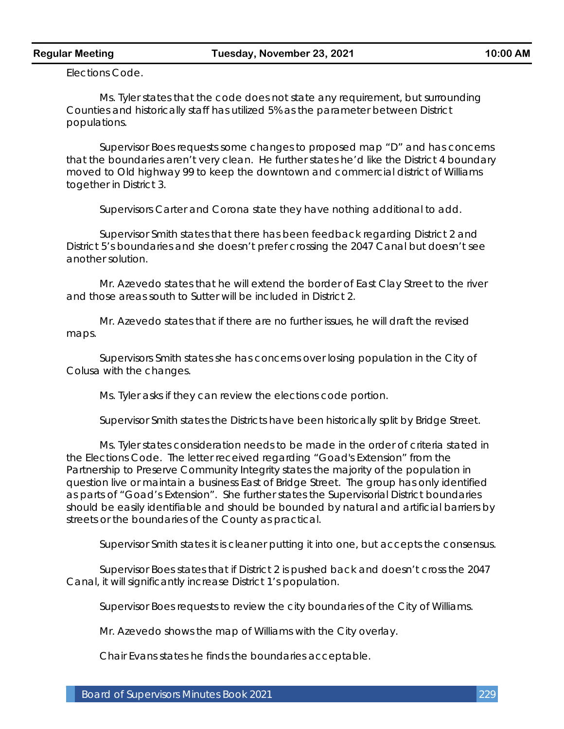Elections Code.

Ms. Tyler states that the code does not state any requirement, but surrounding Counties and historically staff has utilized 5% as the parameter between District populations.

Supervisor Boes requests some changes to proposed map "D" and has concerns that the boundaries aren't very clean. He further states he'd like the District 4 boundary moved to Old highway 99 to keep the downtown and commercial district of Williams together in District 3.

Supervisors Carter and Corona state they have nothing additional to add.

Supervisor Smith states that there has been feedback regarding District 2 and District 5's boundaries and she doesn't prefer crossing the 2047 Canal but doesn't see another solution.

Mr. Azevedo states that he will extend the border of East Clay Street to the river and those areas south to Sutter will be included in District 2.

Mr. Azevedo states that if there are no further issues, he will draft the revised maps.

Supervisors Smith states she has concerns over losing population in the City of Colusa with the changes.

Ms. Tyler asks if they can review the elections code portion.

Supervisor Smith states the Districts have been historically split by Bridge Street.

Ms. Tyler states consideration needs to be made in the order of criteria stated in the Elections Code. The letter received regarding "Goad's Extension" from the Partnership to Preserve Community Integrity states the majority of the population in question live or maintain a business East of Bridge Street. The group has only identified as parts of "Goad's Extension". She further states the Supervisorial District boundaries should be easily identifiable and should be bounded by natural and artificial barriers by streets or the boundaries of the County as practical.

Supervisor Smith states it is cleaner putting it into one, but accepts the consensus.

Supervisor Boes states that if District 2 is pushed back and doesn't cross the 2047 Canal, it will significantly increase District 1's population.

Supervisor Boes requests to review the city boundaries of the City of Williams.

Mr. Azevedo shows the map of Williams with the City overlay.

Chair Evans states he finds the boundaries acceptable.